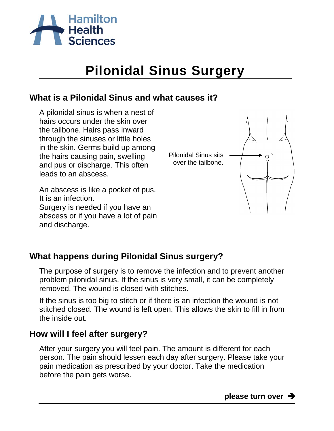

# **Pilonidal Sinus Surgery**

## **What is a Pilonidal Sinus and what causes it?**

A pilonidal sinus is when a nest of hairs occurs under the skin over the tailbone. Hairs pass inward through the sinuses or little holes in the skin. Germs build up among the hairs causing pain, swelling and pus or discharge. This often leads to an abscess.

An abscess is like a pocket of pus. It is an infection. Surgery is needed if you have an abscess or if you have a lot of pain and discharge.



## **What happens during Pilonidal Sinus surgery?**

The purpose of surgery is to remove the infection and to prevent another problem pilonidal sinus. If the sinus is very small, it can be completely removed. The wound is closed with stitches.

If the sinus is too big to stitch or if there is an infection the wound is not stitched closed. The wound is left open. This allows the skin to fill in from the inside out.

### **How will I feel after surgery?**

After your surgery you will feel pain. The amount is different for each person. The pain should lessen each day after surgery. Please take your pain medication as prescribed by your doctor. Take the medication before the pain gets worse.